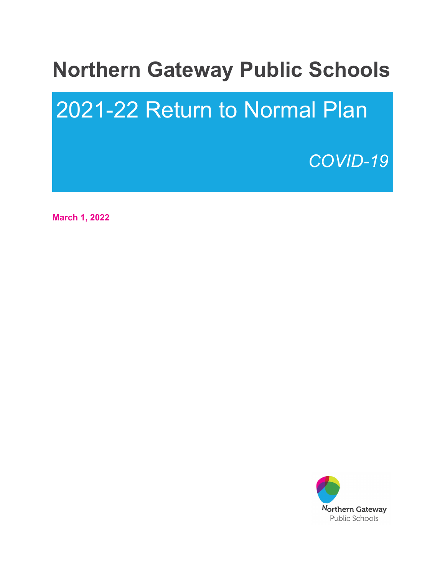## **Northern Gateway Public Schools**

# 2021-22 Return to Normal Plan

## *COVID-19*

**March 1, 2022**

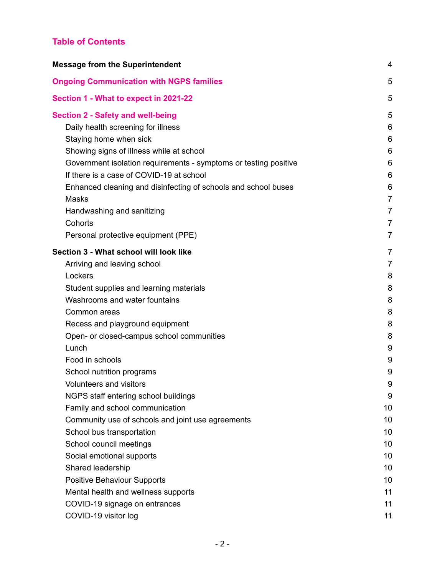## **Table of Contents**

| <b>Message from the Superintendent</b>                           |                |
|------------------------------------------------------------------|----------------|
| <b>Ongoing Communication with NGPS families</b>                  | 5              |
| Section 1 - What to expect in 2021-22                            | 5              |
| <b>Section 2 - Safety and well-being</b>                         | 5              |
| Daily health screening for illness                               | 6              |
| Staying home when sick                                           | 6              |
| Showing signs of illness while at school                         | 6              |
| Government isolation requirements - symptoms or testing positive | 6              |
| If there is a case of COVID-19 at school                         | 6              |
| Enhanced cleaning and disinfecting of schools and school buses   | 6              |
| <b>Masks</b>                                                     | 7              |
| Handwashing and sanitizing                                       | 7              |
| Cohorts                                                          | $\overline{7}$ |
| Personal protective equipment (PPE)                              | 7              |
| Section 3 - What school will look like                           | 7              |
| Arriving and leaving school                                      | 7              |
| Lockers                                                          | 8              |
| Student supplies and learning materials                          | 8              |
| Washrooms and water fountains                                    | 8              |
| Common areas                                                     | 8              |
| Recess and playground equipment                                  | 8              |
| Open- or closed-campus school communities                        | 8              |
| Lunch                                                            | 9              |
| Food in schools                                                  | 9              |
| School nutrition programs                                        | 9              |
| Volunteers and visitors                                          | 9              |
| NGPS staff entering school buildings                             | 9              |
| Family and school communication                                  | 10             |
| Community use of schools and joint use agreements                | 10             |
| School bus transportation                                        | 10             |
| School council meetings                                          | 10             |
| Social emotional supports                                        | 10             |
| Shared leadership                                                | 10             |
| <b>Positive Behaviour Supports</b>                               | 10             |
| Mental health and wellness supports                              | 11             |
| COVID-19 signage on entrances                                    | 11             |
| COVID-19 visitor log                                             | 11             |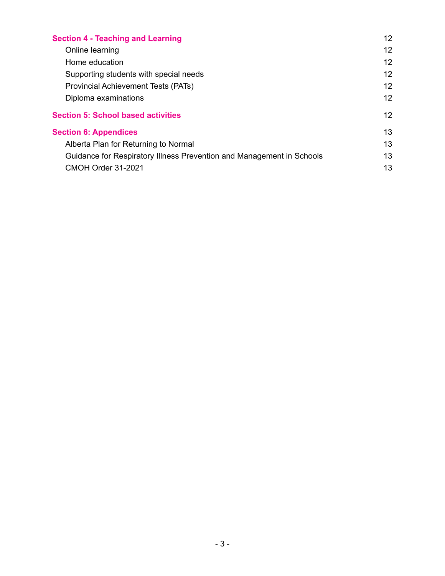| <b>Section 4 - Teaching and Learning</b>                              |    |
|-----------------------------------------------------------------------|----|
| Online learning                                                       | 12 |
| Home education                                                        | 12 |
| Supporting students with special needs                                | 12 |
| Provincial Achievement Tests (PATs)                                   | 12 |
| Diploma examinations                                                  | 12 |
| <b>Section 5: School based activities</b>                             | 12 |
| <b>Section 6: Appendices</b>                                          | 13 |
| Alberta Plan for Returning to Normal                                  |    |
| Guidance for Respiratory Illness Prevention and Management in Schools |    |
| CMOH Order 31-2021                                                    | 13 |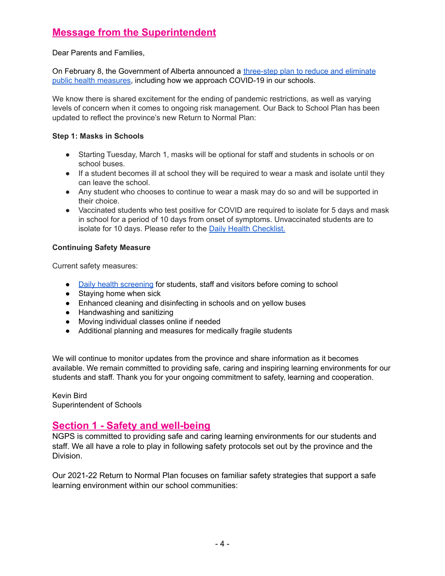## <span id="page-3-0"></span>**Message from the Superintendent**

#### Dear Parents and Families,

On February 8, the Government of Alberta announced a [three-step plan to reduce and eliminate](https://www.alberta.ca/release.cfm?xID=8185996876395-A336-5B57-A82D6FEE916E1060) [public health measures,](https://www.alberta.ca/release.cfm?xID=8185996876395-A336-5B57-A82D6FEE916E1060) including how we approach COVID-19 in our schools.

We know there is shared excitement for the ending of pandemic restrictions, as well as varying levels of concern when it comes to ongoing risk management. Our Back to School Plan has been updated to reflect the province's new Return to Normal Plan:

#### **Step 1: Masks in Schools**

- Starting Tuesday, March 1, masks will be optional for staff and students in schools or on school buses.
- If a student becomes ill at school they will be required to wear a mask and isolate until they can leave the school.
- Any student who chooses to continue to wear a mask may do so and will be supported in their choice.
- Vaccinated students who test positive for COVID are required to isolate for 5 days and mask in school for a period of 10 days from onset of symptoms. Unvaccinated students are to isolate for 10 days. Please refer to the [Daily Health](https://open.alberta.ca/publications/covid-19-information-alberta-health-daily-checklist) Checklist.

#### **Continuing Safety Measure**

Current safety measures:

- [Daily health screening](https://open.alberta.ca/publications/covid-19-information-alberta-health-daily-checklist) for students, staff and visitors before coming to school
- Staving home when sick
- Enhanced cleaning and disinfecting in schools and on yellow buses
- Handwashing and sanitizing
- Moving individual classes online if needed
- Additional planning and measures for medically fragile students

We will continue to monitor updates from the province and share information as it becomes available. We remain committed to providing safe, caring and inspiring learning environments for our students and staff. Thank you for your ongoing commitment to safety, learning and cooperation.

Kevin Bird Superintendent of Schools

### <span id="page-3-1"></span>**Section 1 - Safety and well-being**

NGPS is committed to providing safe and caring learning environments for our students and staff. We all have a role to play in following safety protocols set out by the province and the Division.

Our 2021-22 Return to Normal Plan focuses on familiar safety strategies that support a safe learning environment within our school communities: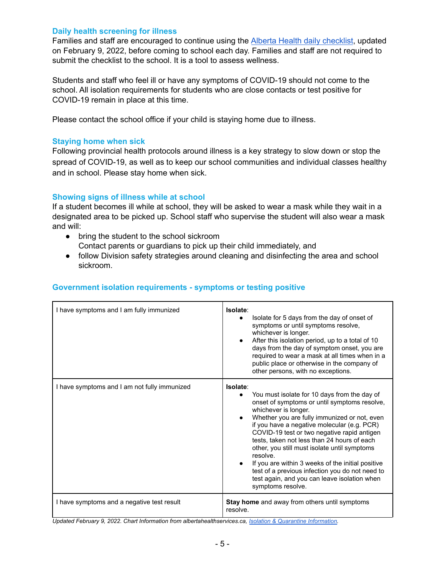#### <span id="page-4-0"></span>**Daily health screening for illness**

Families and staff are encouraged to continue using the Alberta Health daily [checklist](https://open.alberta.ca/publications/covid-19-information-alberta-health-daily-checklist), updated on February 9, 2022, before coming to school each day. Families and staff are not required to submit the checklist to the school. It is a tool to assess wellness.

Students and staff who feel ill or have any symptoms of COVID-19 should not come to the school. All isolation requirements for students who are close contacts or test positive for COVID-19 remain in place at this time.

Please contact the school office if your child is staying home due to illness.

#### <span id="page-4-1"></span>**Staying home when sick**

Following provincial health protocols around illness is a key strategy to slow down or stop the spread of COVID-19, as well as to keep our school communities and individual classes healthy and in school. Please stay home when sick.

#### <span id="page-4-2"></span>**Showing signs of illness while at school**

If a student becomes ill while at school, they will be asked to wear a mask while they wait in a designated area to be picked up. School staff who supervise the student will also wear a mask and will:

- bring the student to the school sickroom Contact parents or guardians to pick up their child immediately, and
- follow Division safety strategies around cleaning and disinfecting the area and school sickroom.

#### <span id="page-4-3"></span>**Government isolation requirements - symptoms or testing positive**

| I have symptoms and I am fully immunized     | Isolate:<br>Isolate for 5 days from the day of onset of<br>symptoms or until symptoms resolve,<br>whichever is longer.<br>After this isolation period, up to a total of 10<br>$\bullet$<br>days from the day of symptom onset, you are<br>required to wear a mask at all times when in a<br>public place or otherwise in the company of<br>other persons, with no exceptions.                                                                                                                                                                                                       |
|----------------------------------------------|-------------------------------------------------------------------------------------------------------------------------------------------------------------------------------------------------------------------------------------------------------------------------------------------------------------------------------------------------------------------------------------------------------------------------------------------------------------------------------------------------------------------------------------------------------------------------------------|
| I have symptoms and I am not fully immunized | Isolate:<br>You must isolate for 10 days from the day of<br>onset of symptoms or until symptoms resolve,<br>whichever is longer.<br>Whether you are fully immunized or not, even<br>$\bullet$<br>if you have a negative molecular (e.g. PCR)<br>COVID-19 test or two negative rapid antigen<br>tests, taken not less than 24 hours of each<br>other, you still must isolate until symptoms<br>resolve.<br>If you are within 3 weeks of the initial positive<br>test of a previous infection you do not need to<br>test again, and you can leave isolation when<br>symptoms resolve. |
| I have symptoms and a negative test result   | Stay home and away from others until symptoms<br>resolve.                                                                                                                                                                                                                                                                                                                                                                                                                                                                                                                           |

*Updated February 9, 2022. Chart Information from albertahealthservices.ca, Isolation & Quarantine [Information.](https://www.albertahealthservices.ca/topics/Page17239.aspx#what-how-when)*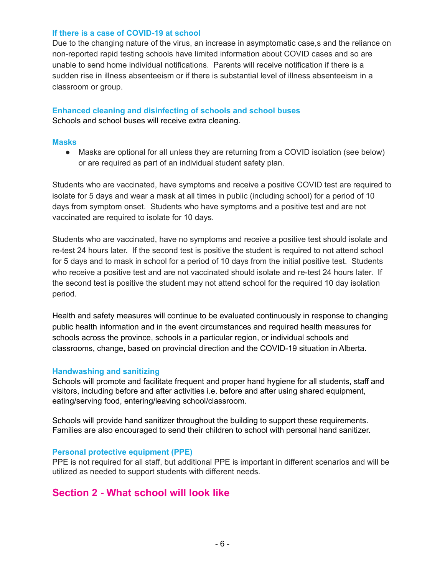#### <span id="page-5-0"></span>**If there is a case of COVID-19 at school**

Due to the changing nature of the virus, an increase in asymptomatic case,s and the reliance on non-reported rapid testing schools have limited information about COVID cases and so are unable to send home individual notifications. Parents will receive notification if there is a sudden rise in illness absenteeism or if there is substantial level of illness absenteeism in a classroom or group.

## <span id="page-5-1"></span>**Enhanced cleaning and disinfecting of schools and school buses**

Schools and school buses will receive extra cleaning.

#### <span id="page-5-2"></span>**Masks**

• Masks are optional for all unless they are returning from a COVID isolation (see below) or are required as part of an individual student safety plan.

Students who are vaccinated, have symptoms and receive a positive COVID test are required to isolate for 5 days and wear a mask at all times in public (including school) for a period of 10 days from symptom onset. Students who have symptoms and a positive test and are not vaccinated are required to isolate for 10 days.

Students who are vaccinated, have no symptoms and receive a positive test should isolate and re-test 24 hours later. If the second test is positive the student is required to not attend school for 5 days and to mask in school for a period of 10 days from the initial positive test. Students who receive a positive test and are not vaccinated should isolate and re-test 24 hours later. If the second test is positive the student may not attend school for the required 10 day isolation period.

Health and safety measures will continue to be evaluated continuously in response to changing public health information and in the event circumstances and required health measures for schools across the province, schools in a particular region, or individual schools and classrooms, change, based on provincial direction and the COVID-19 situation in Alberta.

#### <span id="page-5-3"></span>**Handwashing and sanitizing**

Schools will promote and facilitate frequent and proper hand hygiene for all students, staff and visitors, including before and after activities i.e. before and after using shared equipment, eating/serving food, entering/leaving school/classroom.

Schools will provide hand sanitizer throughout the building to support these requirements. Families are also encouraged to send their children to school with personal hand sanitizer.

#### <span id="page-5-4"></span>**Personal protective equipment (PPE)**

PPE is not required for all staff, but additional PPE is important in different scenarios and will be utilized as needed to support students with different needs.

## <span id="page-5-5"></span>**Section 2 - What school will look like**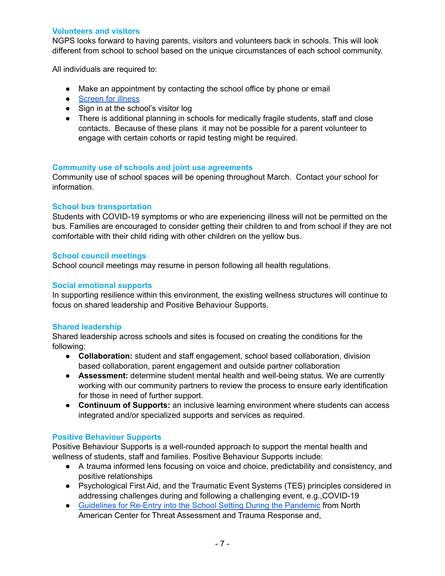#### <span id="page-6-0"></span>**Volunteers and visitors**

NGPS looks forward to having parents, visitors and volunteers back in schools. This will look different from school to school based on the unique circumstances of each school community.

All individuals are required to:

- Make an appointment by contacting the school office by phone or email
- [Screen](https://open.alberta.ca/publications/covid-19-information-alberta-health-daily-checklist) for illness
- Sign in at the school's visitor log
- There is additional planning in schools for medically fragile students, staff and close contacts. Because of these plans it may not be possible for a parent volunteer to engage with certain cohorts or rapid testing might be required.

#### <span id="page-6-1"></span>**Community use of schools and joint use agreements**

Community use of school spaces will be opening throughout March. Contact your school for information.

#### <span id="page-6-2"></span>**School bus transportation**

Students with COVID-19 symptoms or who are experiencing illness will not be permitted on the bus. Families are encouraged to consider getting their children to and from school if they are not comfortable with their child riding with other children on the yellow bus.

#### <span id="page-6-3"></span>**School council meetings**

School council meetings may resume in person following all health regulations.

#### <span id="page-6-4"></span>**Social emotional supports**

In supporting resilience within this environment, the existing wellness structures will continue to focus on shared leadership and Positive Behaviour Supports.

#### <span id="page-6-5"></span>**Shared leadership**

Shared leadership across schools and sites is focused on creating the conditions for the following:

- **Collaboration:** student and staff engagement, school based collaboration, division based collaboration, parent engagement and outside partner collaboration
- **Assessment:** determine student mental health and well-being status. We are currently working with our community partners to review the process to ensure early identification for those in need of further support.
- **Continuum of Supports:** an inclusive learning environment where students can access integrated and/or specialized supports and services as required.

#### <span id="page-6-6"></span>**Positive Behaviour Supports**

Positive Behaviour Supports is a well-rounded approach to support the mental health and wellness of students, staff and families. Positive Behaviour Supports include:

- A trauma informed lens focusing on voice and choice, predictability and consistency, and positive relationships
- Psychological First Aid, and the Traumatic Event Systems (TES) principles considered in addressing challenges during and following a challenging event, e.g.,COVID-19
- [Guidelines](https://www.nactatr.com/news/guidere-entry.html) for Re-Entry into the School Setting During the Pandemic from North American Center for Threat Assessment and Trauma Response and,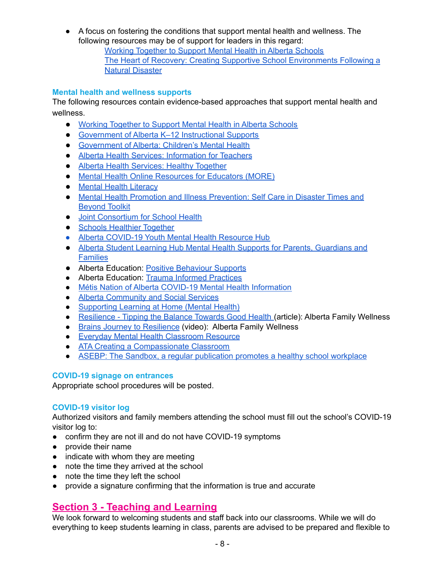● A focus on fostering the conditions that support mental health and wellness. The following resources may be of support for leaders in this regard: Working [Together](https://open.alberta.ca/dataset/9781460132999) to Support Mental Health in Alberta Schools The Heart of Recovery: Creating Supportive School [Environments](https://open.alberta.ca/dataset/2182f1b8-eb92-491f-968e-c1662e3591a5/resource/faed9a3f-63f6-4264-bcdb-98e99292505f/download/edu-heart-of-recovery-english.pdf) Following a Natural [Disaster](https://open.alberta.ca/dataset/2182f1b8-eb92-491f-968e-c1662e3591a5/resource/faed9a3f-63f6-4264-bcdb-98e99292505f/download/edu-heart-of-recovery-english.pdf)

#### <span id="page-7-0"></span>**Mental health and wellness supports**

The following resources contain evidence-based approaches that support mental health and wellness.

- Working [Together](https://open.alberta.ca/dataset/9781460132999) to Support Mental Health in Alberta Schools
- [Government](https://www.alberta.ca/k-to-12-instructional-supports.aspx) of Alberta K–12 Instructional Supports
- [Government](https://www.alberta.ca/childrens-mental-health.aspx) of Alberta: Children's Mental Health
- Alberta Health Services: [Information](https://www.albertahealthservices.ca/info/page9539.aspx) for Teachers
- Alberta Health [Services:](https://www.albertahealthservices.ca/news/Page15439.aspx) Healthy Together
- Mental Health Online [Resources](https://more.hmhc.ca/) for Educators (MORE)
- Mental Health [Literacy](https://mentalhealthliteracy.org/)
- Mental Health Promotion and Illness [Prevention:](https://public.3.basecamp.com/p/tkyMP9pse3tDKr848MieKHae) Self Care in Disaster Times and [Beyond](https://public.3.basecamp.com/p/tkyMP9pse3tDKr848MieKHae) Toolkit
- Joint [Consortium](http://www.jcsh-cces.ca/) for School Health
- Schools [Healthier](https://schools.healthiertogether.ca/en/) Together
- Alberta [COVID-19](https://jack.org/Resources/ABHub) Youth Mental Health Resource Hub
- Alberta Student Learning Hub Mental Health Supports for Parents, [Guardians](https://new.learnalberta.ca/Resources/content/cda/nla-data/learning-info-hub/docs/parent_mh_supports_EN.pdf) and **[Families](https://new.learnalberta.ca/Resources/content/cda/nla-data/learning-info-hub/docs/parent_mh_supports_EN.pdf)**
- Alberta Education: Positive [Behaviour](https://www.alberta.ca/positive-behaviour-supports.aspx?utm_source=redirector) Supports
- Alberta Education: Trauma Informed [Practices](https://www.alberta.ca/trauma-informed-practice.aspx)
- Métis Nation of Alberta COVID-19 Mental Health [Information](http://albertametis.com/covid-19-information/mental-health/)
- Alberta [Community](http://www.humanservices.alberta.ca/family-community/childrens-mental-health.html) and Social Services
- [Supporting](https://sites.google.com/arpdc.ab.ca/learningathome/for-everyone?authuser=0) Learning at Home (Mental Health)
- [Resilience](https://www.albertafamilywellness.org/what-we-know/resilience-scale) Tipping the Balance Towards Good Health (article): Alberta Family Wellness
- Brains Journey to [Resilience](https://www.albertafamilywellness.org/resources/video/brains-journey-to-resilience) (video): Alberta Family Wellness
- Everyday Mental Health [Classroom](https://smh-assist.ca/emhc/) Resource
- ATA Creating a [Compassionate](http://canwetalk.ca/wp-content/uploads/2016/03/Can-we-talk-booklet.pdf) Classroom
- ASEBP: The Sandbox, a regular [publication](https://www.thewellnesssandbox.ca/) promotes a healthy school workplace

#### <span id="page-7-1"></span>**COVID-19 signage on entrances**

Appropriate school procedures will be posted.

#### <span id="page-7-2"></span>**COVID-19 visitor log**

Authorized visitors and family members attending the school must fill out the school's COVID-19 visitor log to:

- confirm they are not ill and do not have COVID-19 symptoms
- provide their name
- indicate with whom they are meeting
- note the time they arrived at the school
- note the time they left the school
- provide a signature confirming that the information is true and accurate

### <span id="page-7-3"></span>**Section 3 - Teaching and Learning**

We look forward to welcoming students and staff back into our classrooms. While we will do everything to keep students learning in class, parents are advised to be prepared and flexible to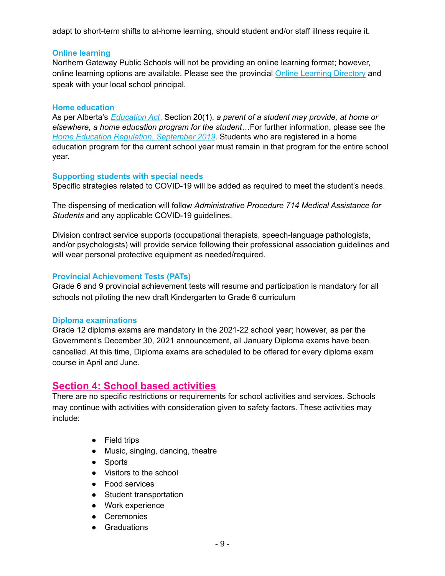adapt to short-term shifts to at-home learning, should student and/or staff illness require it.

#### <span id="page-8-0"></span>**Online learning**

Northern Gateway Public Schools will not be providing an online learning format; however, online learning options are available. Please see the provincial Online Learning [Directory](https://www.alberta.ca/online-learning.aspx#jumplinks-1) and speak with your local school principal.

#### <span id="page-8-1"></span>**Home education**

As per Alberta's *[Education](https://www.qp.alberta.ca/1266.cfm?page=E00P3.cfm&leg_type=Acts&isbncln=9780779816774) Act*, Section 20(1), *a parent of a student may provide, at home or elsewhere, a home education program for the student*…For further information, please see the *Home Education Regulation*, *[September](https://www.qp.alberta.ca/documents/Regs/2019_089.pdf) 2019*. Students who are registered in a home education program for the current school year must remain in that program for the entire school year.

#### <span id="page-8-2"></span>**Supporting students with special needs**

Specific strategies related to COVID-19 will be added as required to meet the student's needs.

The dispensing of medication will follow *Administrative Procedure 714 Medical Assistance for Students* and any applicable COVID-19 guidelines.

Division contract service supports (occupational therapists, speech-language pathologists, and/or psychologists) will provide service following their professional association guidelines and will wear personal protective equipment as needed/required.

#### <span id="page-8-3"></span>**Provincial Achievement Tests (PATs)**

Grade 6 and 9 provincial achievement tests will resume and participation is mandatory for all schools not piloting the new draft Kindergarten to Grade 6 curriculum

#### <span id="page-8-4"></span>**Diploma examinations**

Grade 12 diploma exams are mandatory in the 2021-22 school year; however, as per the Government's December 30, 2021 announcement, all January Diploma exams have been cancelled. At this time, Diploma exams are scheduled to be offered for every diploma exam course in April and June.

#### <span id="page-8-5"></span>**Section 4: School based activities**

There are no specific restrictions or requirements for school activities and services. Schools may continue with activities with consideration given to safety factors. These activities may include:

- Field trips
- Music, singing, dancing, theatre
- Sports
- Visitors to the school
- Food services
- Student transportation
- Work experience
- Ceremonies
- Graduations